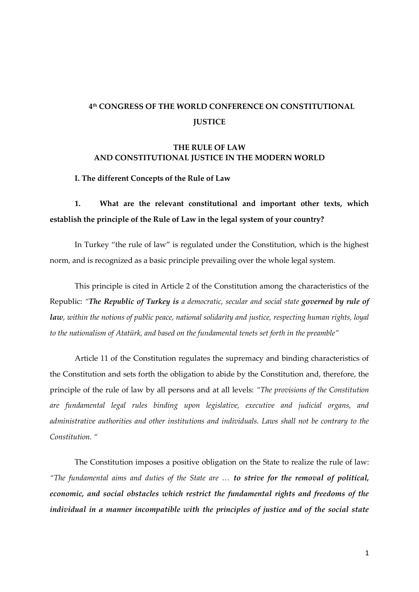#### **4 th CONGRESS OF THE WORLD CONFERENCE ON CONSTITUTIONAL JUSTICE**

#### **THE RULE OF LAW AND CONSTITUTIONAL JUSTICE IN THE MODERN WORLD**

**I. The different Concepts of the Rule of Law**

## **1. What are the relevant constitutional and important other texts, which establish the principle of the Rule of Law in the legal system of your country?**

In Turkey "the rule of law" is regulated under the Constitution, which is the highest norm, and is recognized as a basic principle prevailing over the whole legal system.

This principle is cited in Article 2 of the Constitution among the characteristics of the Republic: *"The Republic of Turkey is a democratic, secular and social state governed by rule of law, within the notions of public peace, national solidarity and justice, respecting human rights, loyal to the nationalism of Atatürk, and based on the fundamental tenets set forth in the preamble"*

Article 11 of the Constitution regulates the supremacy and binding characteristics of the Constitution and sets forth the obligation to abide by the Constitution and, therefore, the principle of the rule of law by all persons and at all levels: *"The provisions of the Constitution are fundamental legal rules binding upon legislative, executive and judicial organs, and administrative authorities and other institutions and individuals. Laws shall not be contrary to the Constitution. "*

The Constitution imposes a positive obligation on the State to realize the rule of law: *"The fundamental aims and duties of the State are … to strive for the removal of political, economic, and social obstacles which restrict the fundamental rights and freedoms of the individual in a manner incompatible with the principles of justice and of the social state*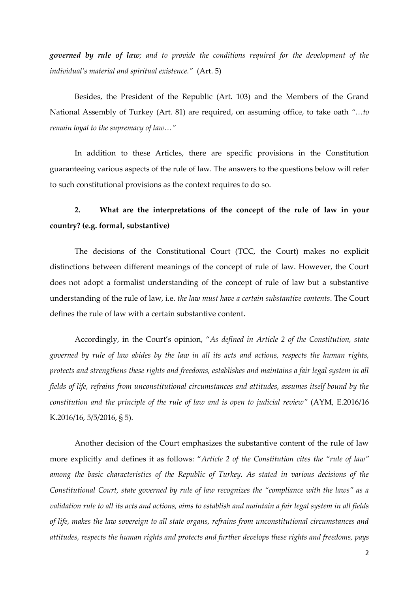*governed by rule of law; and to provide the conditions required for the development of the individual's material and spiritual existence."* (Art. 5)

Besides, the President of the Republic (Art. 103) and the Members of the Grand National Assembly of Turkey (Art. 81) are required, on assuming office, to take oath *"…to remain loyal to the supremacy of law…"*

In addition to these Articles, there are specific provisions in the Constitution guaranteeing various aspects of the rule of law. The answers to the questions below will refer to such constitutional provisions as the context requires to do so.

#### **2. What are the interpretations of the concept of the rule of law in your country? (e.g. formal, substantive)**

The decisions of the Constitutional Court (TCC, the Court) makes no explicit distinctions between different meanings of the concept of rule of law. However, the Court does not adopt a formalist understanding of the concept of rule of law but a substantive understanding of the rule of law, i.e. *the law must have a certain substantive contents*. The Court defines the rule of law with a certain substantive content.

Accordingly, in the Court's opinion, "*As defined in Article 2 of the Constitution, state governed by rule of law abides by the law in all its acts and actions, respects the human rights, protects and strengthens these rights and freedoms, establishes and maintains a fair legal system in all fields of life, refrains from unconstitutional circumstances and attitudes, assumes itself bound by the constitution and the principle of the rule of law and is open to judicial review"* (AYM, E.2016/16 K.2016/16, 5/5/2016, § 5).

Another decision of the Court emphasizes the substantive content of the rule of law more explicitly and defines it as follows: "*Article 2 of the Constitution cites the "rule of law" among the basic characteristics of the Republic of Turkey. As stated in various decisions of the Constitutional Court, state governed by rule of law recognizes the "compliance with the laws" as a validation rule to all its acts and actions, aims to establish and maintain a fair legal system in all fields of life, makes the law sovereign to all state organs, refrains from unconstitutional circumstances and attitudes, respects the human rights and protects and further develops these rights and freedoms, pays*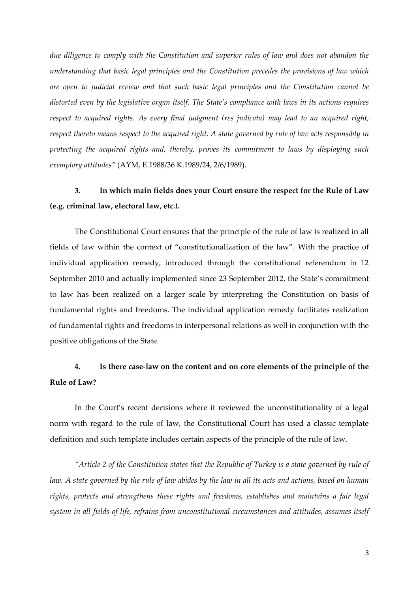*due diligence to comply with the Constitution and superior rules of law and does not abandon the understanding that basic legal principles and the Constitution precedes the provisions of law which are open to judicial review and that such basic legal principles and the Constitution cannot be distorted even by the legislative organ itself. The State's compliance with laws in its actions requires respect to acquired rights. As every final judgment (res judicata) may lead to an acquired right, respect thereto means respect to the acquired right. A state governed by rule of law acts responsibly in protecting the acquired rights and, thereby, proves its commitment to laws by displaying such exemplary attitudes"* (AYM, E.1988/36 K.1989/24, 2/6/1989).

# **3. In which main fields does your Court ensure the respect for the Rule of Law (e.g. criminal law, electoral law, etc.).**

The Constitutional Court ensures that the principle of the rule of law is realized in all fields of law within the context of "constitutionalization of the law". With the practice of individual application remedy, introduced through the constitutional referendum in 12 September 2010 and actually implemented since 23 September 2012, the State's commitment to law has been realized on a larger scale by interpreting the Constitution on basis of fundamental rights and freedoms. The individual application remedy facilitates realization of fundamental rights and freedoms in interpersonal relations as well in conjunction with the positive obligations of the State.

## **4. Is there case-law on the content and on core elements of the principle of the Rule of Law?**

In the Court's recent decisions where it reviewed the unconstitutionality of a legal norm with regard to the rule of law, the Constitutional Court has used a classic template definition and such template includes certain aspects of the principle of the rule of law.

*"Article 2 of the Constitution states that the Republic of Turkey is a state governed by rule of law. A state governed by the rule of law abides by the law in all its acts and actions, based on human rights, protects and strengthens these rights and freedoms, establishes and maintains a fair legal system in all fields of life, refrains from unconstitutional circumstances and attitudes, assumes itself*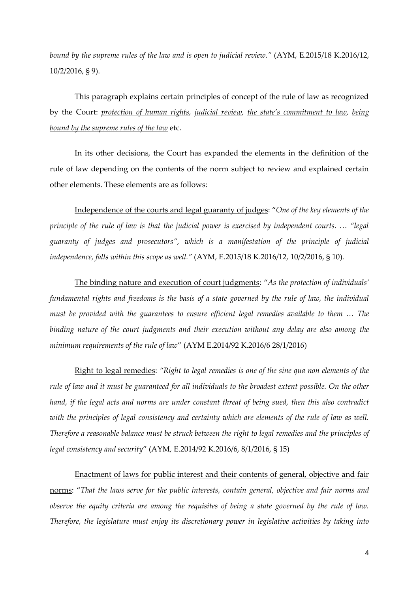*bound by the supreme rules of the law and is open to judicial review."* (AYM, E.2015/18 K.2016/12, 10/2/2016, § 9).

This paragraph explains certain principles of concept of the rule of law as recognized by the Court: *protection of human rights, judicial review, the state's commitment to law, being bound by the supreme rules of the law* etc.

In its other decisions, the Court has expanded the elements in the definition of the rule of law depending on the contents of the norm subject to review and explained certain other elements. These elements are as follows:

Independence of the courts and legal guaranty of judges: "*One of the key elements of the principle of the rule of law is that the judicial power is exercised by independent courts. … "legal guaranty of judges and prosecutors", which is a manifestation of the principle of judicial independence, falls within this scope as well."* (AYM, E.2015/18 K.2016/12, 10/2/2016, § 10).

The binding nature and execution of court judgments: "*As the protection of individuals' fundamental rights and freedoms is the basis of a state governed by the rule of law, the individual must be provided with the guarantees to ensure efficient legal remedies available to them … The binding nature of the court judgments and their execution without any delay are also among the minimum requirements of the rule of law*" (AYM E.2014/92 K.2016/6 28/1/2016)

Right to legal remedies: *"Right to legal remedies is one of the sine qua non elements of the rule of law and it must be guaranteed for all individuals to the broadest extent possible. On the other hand, if the legal acts and norms are under constant threat of being sued, then this also contradict with the principles of legal consistency and certainty which are elements of the rule of law as well. Therefore a reasonable balance must be struck between the right to legal remedies and the principles of legal consistency and security*" (AYM, E.2014/92 K.2016/6, 8/1/2016, § 15)

Enactment of laws for public interest and their contents of general, objective and fair norms: "*That the laws serve for the public interests, contain general, objective and fair norms and observe the equity criteria are among the requisites of being a state governed by the rule of law. Therefore, the legislature must enjoy its discretionary power in legislative activities by taking into*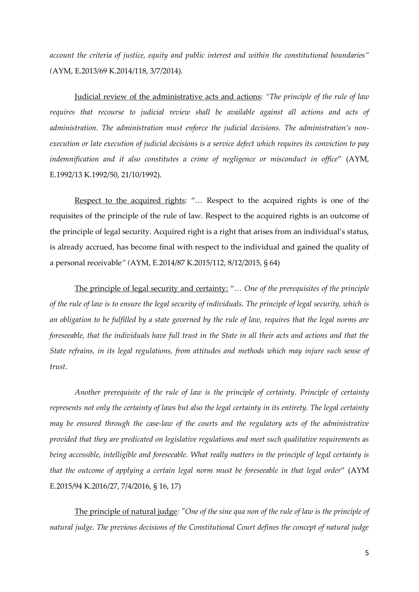*account the criteria of justice, equity and public interest and within the constitutional boundaries" (*AYM, E.2013/69 K.2014/118, 3/7/2014).

Judicial review of the administrative acts and actions: *"The principle of the rule of law requires that recourse to judicial review shall be available against all actions and acts of administration. The administration must enforce the judicial decisions. The administration's nonexecution or late execution of judicial decisions is a service defect which requires its conviction to pay indemnification and it also constitutes a crime of negligence or misconduct in office*" (AYM, E.1992/13 K.1992/50, 21/10/1992).

Respect to the acquired rights: "… Respect to the acquired rights is one of the requisites of the principle of the rule of law. Respect to the acquired rights is an outcome of the principle of legal security. Acquired right is a right that arises from an individual's status, is already accrued, has become final with respect to the individual and gained the quality of a personal receivable*" (*AYM, E.2014/87 K.2015/112, 8/12/2015, § 64)

The principle of legal security and certainty: "*… One of the prerequisites of the principle of the rule of law is to ensure the legal security of individuals. The principle of legal security, which is an obligation to be fulfilled by a state governed by the rule of law, requires that the legal norms are foreseeable, that the individuals have full trust in the State in all their acts and actions and that the State refrains, in its legal regulations, from attitudes and methods which may injure such sense of trust.*

*Another prerequisite of the rule of law is the principle of certainty. Principle of certainty represents not only the certainty of laws but also the legal certainty in its entirety. The legal certainty may be ensured through the case-law of the courts and the regulatory acts of the administrative provided that they are predicated on legislative regulations and meet such qualitative requirements as being accessible, intelligible and foreseeable. What really matters in the principle of legal certainty is that the outcome of applying a certain legal norm must be foreseeable in that legal order*" (AYM E.2015/94 K.2016/27, 7/4/2016, § 16, 17)

The principle of natural judge*: "One of the sine qua non of the rule of law is the principle of natural judge. The previous decisions of the Constitutional Court defines the concept of natural judge*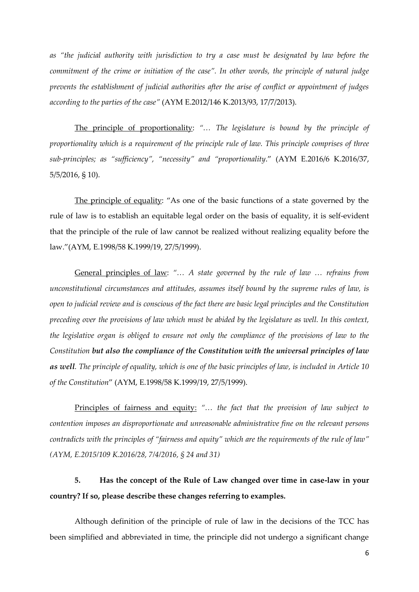*as "the judicial authority with jurisdiction to try a case must be designated by law before the commitment of the crime or initiation of the case". In other words, the principle of natural judge prevents the establishment of judicial authorities after the arise of conflict or appointment of judges according to the parties of the case"* (AYM E.2012/146 K.2013/93, 17/7/2013).

The principle of proportionality: *"… The legislature is bound by the principle of proportionality which is a requirement of the principle rule of law. This principle comprises of three sub-principles; as "sufficiency", "necessity" and "proportionality*." (AYM E.2016/6 K.2016/37, 5/5/2016, § 10).

The principle of equality: "As one of the basic functions of a state governed by the rule of law is to establish an equitable legal order on the basis of equality, it is self-evident that the principle of the rule of law cannot be realized without realizing equality before the law."(AYM, E.1998/58 K.1999/19, 27/5/1999).

General principles of law: *"… A state governed by the rule of law … refrains from unconstitutional circumstances and attitudes, assumes itself bound by the supreme rules of law, is open to judicial review and is conscious of the fact there are basic legal principles and the Constitution preceding over the provisions of law which must be abided by the legislature as well. In this context, the legislative organ is obliged to ensure not only the compliance of the provisions of law to the Constitution but also the compliance of the Constitution with the universal principles of law as well. The principle of equality, which is one of the basic principles of law, is included in Article 10 of the Constitution*" (AYM, E.1998/58 K.1999/19, 27/5/1999).

Principles of fairness and equity: *"… the fact that the provision of law subject to contention imposes an disproportionate and unreasonable administrative fine on the relevant persons contradicts with the principles of "fairness and equity" which are the requirements of the rule of law" (AYM, E.2015/109 K.2016/28, 7/4/2016, § 24 and 31)*

# **5. Has the concept of the Rule of Law changed over time in case-law in your country? If so, please describe these changes referring to examples.**

Although definition of the principle of rule of law in the decisions of the TCC has been simplified and abbreviated in time, the principle did not undergo a significant change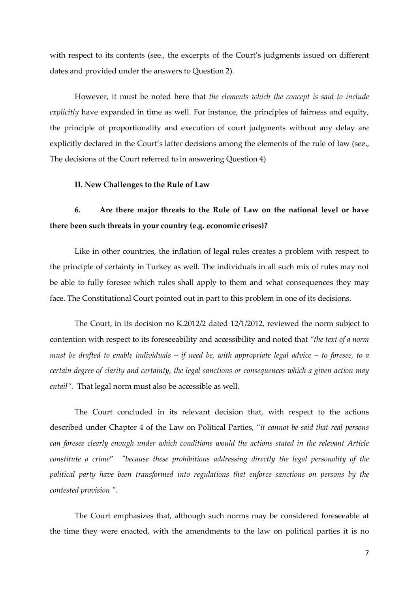with respect to its contents (see., the excerpts of the Court's judgments issued on different dates and provided under the answers to Question 2).

However, it must be noted here that *the elements which the concept is said to include explicitly* have expanded in time as well. For instance, the principles of fairness and equity, the principle of proportionality and execution of court judgments without any delay are explicitly declared in the Court's latter decisions among the elements of the rule of law (see., The decisions of the Court referred to in answering Question 4)

#### **II. New Challenges to the Rule of Law**

#### **6. Are there major threats to the Rule of Law on the national level or have there been such threats in your country (e.g. economic crises)?**

Like in other countries, the inflation of legal rules creates a problem with respect to the principle of certainty in Turkey as well. The individuals in all such mix of rules may not be able to fully foresee which rules shall apply to them and what consequences they may face. The Constitutional Court pointed out in part to this problem in one of its decisions.

The Court, in its decision no K.2012/2 dated 12/1/2012, reviewed the norm subject to contention with respect to its foreseeability and accessibility and noted that *"the text of a norm must be drafted to enable individuals – if need be, with appropriate legal advice – to foresee, to a certain degree of clarity and certainty, the legal sanctions or consequences which a given action may entail".* That legal norm must also be accessible as well.

The Court concluded in its relevant decision that, with respect to the actions described under Chapter 4 of the Law on Political Parties, "*it cannot be said that real persons can foresee clearly enough under which conditions would the actions stated in the relevant Article constitute a crime*" *"because these prohibitions addressing directly the legal personality of the political party have been transformed into regulations that enforce sanctions on persons by the contested provision "*.

The Court emphasizes that, although such norms may be considered foreseeable at the time they were enacted, with the amendments to the law on political parties it is no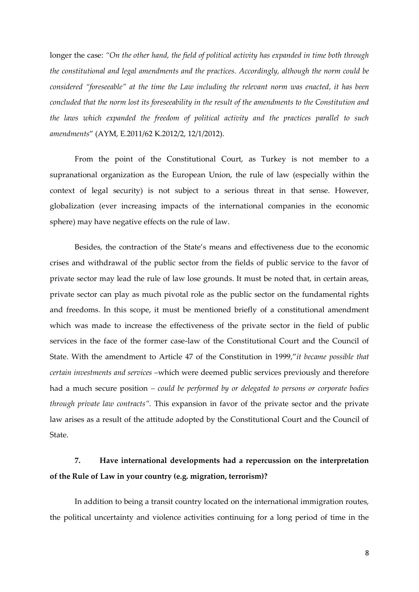longer the case: *"On the other hand, the field of political activity has expanded in time both through the constitutional and legal amendments and the practices. Accordingly, although the norm could be considered "foreseeable" at the time the Law including the relevant norm was enacted, it has been concluded that the norm lost its foreseeability in the result of the amendments to the Constitution and the laws which expanded the freedom of political activity and the practices parallel to such amendments*" (AYM, E.2011/62 K.2012/2, 12/1/2012).

From the point of the Constitutional Court, as Turkey is not member to a supranational organization as the European Union, the rule of law (especially within the context of legal security) is not subject to a serious threat in that sense. However, globalization (ever increasing impacts of the international companies in the economic sphere) may have negative effects on the rule of law.

Besides, the contraction of the State's means and effectiveness due to the economic crises and withdrawal of the public sector from the fields of public service to the favor of private sector may lead the rule of law lose grounds. It must be noted that, in certain areas, private sector can play as much pivotal role as the public sector on the fundamental rights and freedoms. In this scope, it must be mentioned briefly of a constitutional amendment which was made to increase the effectiveness of the private sector in the field of public services in the face of the former case-law of the Constitutional Court and the Council of State. With the amendment to Article 47 of the Constitution in 1999,"*it became possible that certain investments and services –*which were deemed public services previously and therefore had a much secure position *– could be performed by or delegated to persons or corporate bodies through private law contracts".* This expansion in favor of the private sector and the private law arises as a result of the attitude adopted by the Constitutional Court and the Council of State.

## **7. Have international developments had a repercussion on the interpretation of the Rule of Law in your country (e.g. migration, terrorism)?**

In addition to being a transit country located on the international immigration routes, the political uncertainty and violence activities continuing for a long period of time in the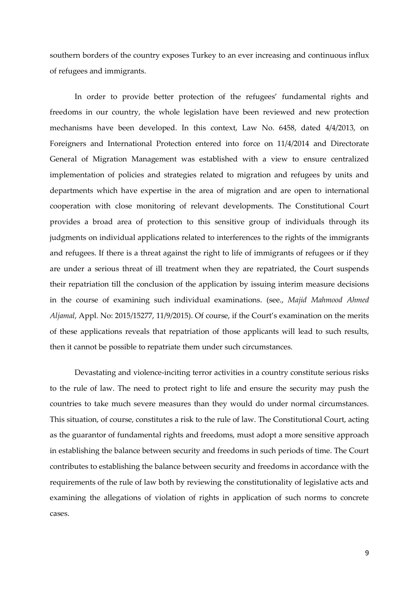southern borders of the country exposes Turkey to an ever increasing and continuous influx of refugees and immigrants.

In order to provide better protection of the refugees' fundamental rights and freedoms in our country, the whole legislation have been reviewed and new protection mechanisms have been developed. In this context, Law No. 6458, dated 4/4/2013, on Foreigners and International Protection entered into force on 11/4/2014 and Directorate General of Migration Management was established with a view to ensure centralized implementation of policies and strategies related to migration and refugees by units and departments which have expertise in the area of migration and are open to international cooperation with close monitoring of relevant developments. The Constitutional Court provides a broad area of protection to this sensitive group of individuals through its judgments on individual applications related to interferences to the rights of the immigrants and refugees. If there is a threat against the right to life of immigrants of refugees or if they are under a serious threat of ill treatment when they are repatriated, the Court suspends their repatriation till the conclusion of the application by issuing interim measure decisions in the course of examining such individual examinations. (see., *Majid Mahmood Ahmed Aljamal*, Appl. No: 2015/15277, 11/9/2015). Of course, if the Court's examination on the merits of these applications reveals that repatriation of those applicants will lead to such results, then it cannot be possible to repatriate them under such circumstances.

Devastating and violence-inciting terror activities in a country constitute serious risks to the rule of law. The need to protect right to life and ensure the security may push the countries to take much severe measures than they would do under normal circumstances. This situation, of course, constitutes a risk to the rule of law. The Constitutional Court, acting as the guarantor of fundamental rights and freedoms, must adopt a more sensitive approach in establishing the balance between security and freedoms in such periods of time. The Court contributes to establishing the balance between security and freedoms in accordance with the requirements of the rule of law both by reviewing the constitutionality of legislative acts and examining the allegations of violation of rights in application of such norms to concrete cases.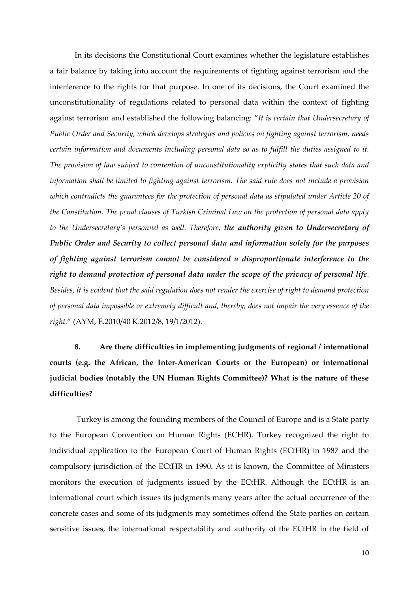In its decisions the Constitutional Court examines whether the legislature establishes a fair balance by taking into account the requirements of fighting against terrorism and the interference to the rights for that purpose. In one of its decisions, the Court examined the unconstitutionality of regulations related to personal data within the context of fighting against terrorism and established the following balancing: "*It is certain that Undersecretary of Public Order and Security, which develops strategies and policies on fighting against terrorism, needs certain information and documents including personal data so as to fulfill the duties assigned to it. The provision of law subject to contention of unconstitutionality explicitly states that such data and information shall be limited to fighting against terrorism. The said rule does not include a provision which contradicts the guarantees for the protection of personal data as stipulated under Article 20 of the Constitution. The penal clauses of Turkish Criminal Law on the protection of personal data apply to the Undersecretary's personnel as well. Therefore, the authority given to Undersecretary of Public Order and Security to collect personal data and information solely for the purposes of fighting against terrorism cannot be considered a disproportionate interference to the right to demand protection of personal data under the scope of the privacy of personal life. Besides, it is evident that the said regulation does not render the exercise of right to demand protection of personal data impossible or extremely difficult and, thereby, does not impair the very essence of the right.*" (AYM, E.2010/40 K.2012/8, 19/1/2012).

**8. Are there difficulties in implementing judgments of regional / international courts (e.g. the African, the Inter-American Courts or the European) or international judicial bodies (notably the UN Human Rights Committee)? What is the nature of these difficulties?**

Turkey is among the founding members of the Council of Europe and is a State party to the European Convention on Human Rights (ECHR). Turkey recognized the right to individual application to the European Court of Human Rights (ECtHR) in 1987 and the compulsory jurisdiction of the ECtHR in 1990. As it is known, the Committee of Ministers monitors the execution of judgments issued by the ECtHR. Although the ECtHR is an international court which issues its judgments many years after the actual occurrence of the concrete cases and some of its judgments may sometimes offend the State parties on certain sensitive issues, the international respectability and authority of the ECtHR in the field of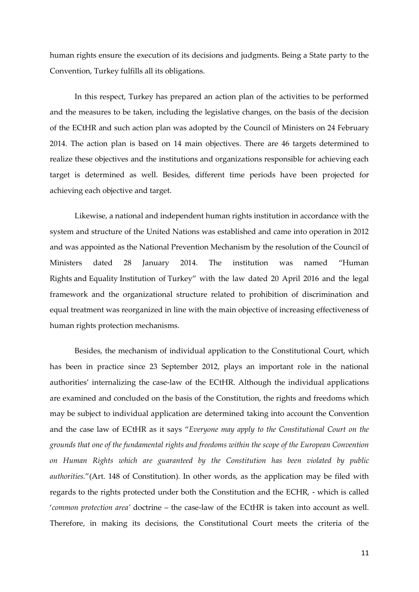human rights ensure the execution of its decisions and judgments. Being a State party to the Convention, Turkey fulfills all its obligations.

In this respect, Turkey has prepared an action plan of the activities to be performed and the measures to be taken, including the legislative changes, on the basis of the decision of the ECtHR and such action plan was adopted by the Council of Ministers on 24 February 2014. The action plan is based on 14 main objectives. There are 46 targets determined to realize these objectives and the institutions and organizations responsible for achieving each target is determined as well. Besides, different time periods have been projected for achieving each objective and target.

Likewise, a national and independent human rights institution in accordance with the system and structure of the United Nations was established and came into operation in 2012 and was appointed as the National Prevention Mechanism by the resolution of the Council of Ministers dated 28 January 2014. The institution was named "Human Rights and Equality Institution of Turkey" with the law dated 20 April 2016 and the legal framework and the organizational structure related to prohibition of discrimination and equal treatment was reorganized in line with the main objective of increasing effectiveness of human rights protection mechanisms.

Besides, the mechanism of individual application to the Constitutional Court, which has been in practice since 23 September 2012, plays an important role in the national authorities' internalizing the case-law of the ECtHR. Although the individual applications are examined and concluded on the basis of the Constitution, the rights and freedoms which may be subject to individual application are determined taking into account the Convention and the case law of ECtHR as it says "*Everyone may apply to the Constitutional Court on the grounds that one of the fundamental rights and freedoms within the scope of the European Convention on Human Rights which are guaranteed by the Constitution has been violated by public authorities.*"(Art. 148 of Constitution). In other words, as the application may be filed with regards to the rights protected under both the Constitution and the ECHR, - which is called '*common protection area'* doctrine – the case-law of the ECtHR is taken into account as well. Therefore, in making its decisions, the Constitutional Court meets the criteria of the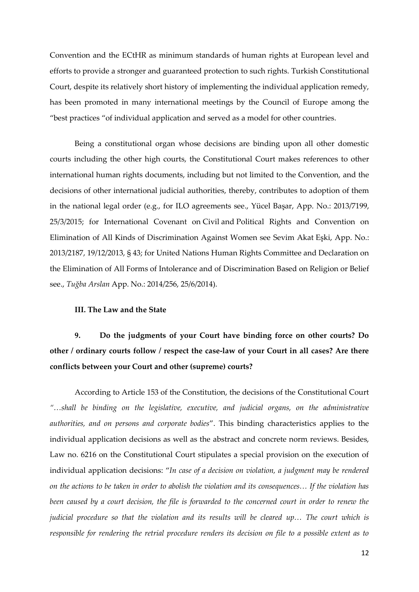Convention and the ECtHR as minimum standards of human rights at European level and efforts to provide a stronger and guaranteed protection to such rights. Turkish Constitutional Court, despite its relatively short history of implementing the individual application remedy, has been promoted in many international meetings by the Council of Europe among the "best practices "of individual application and served as a model for other countries.

Being a constitutional organ whose decisions are binding upon all other domestic courts including the other high courts, the Constitutional Court makes references to other international human rights documents, including but not limited to the Convention, and the decisions of other international judicial authorities, thereby, contributes to adoption of them in the national legal order (e.g., for ILO agreements see., Yücel Başar, App. No.: 2013/7199, 25/3/2015; for International Covenant on Civil and Political Rights and Convention on Elimination of All Kinds of Discrimination Against Women see Sevim Akat Eşki, App. No.: 2013/2187, 19/12/2013, § 43; for United Nations Human Rights Committee and Declaration on the Elimination of All Forms of Intolerance and of Discrimination Based on Religion or Belief see., *Tuğba Arslan* App. No.: 2014/256, 25/6/2014).

#### **III. The Law and the State**

**9. Do the judgments of your Court have binding force on other courts? Do other / ordinary courts follow / respect the case-law of your Court in all cases? Are there conflicts between your Court and other (supreme) courts?**

According to Article 153 of the Constitution, the decisions of the Constitutional Court *"…shall be binding on the legislative, executive, and judicial organs, on the administrative authorities, and on persons and corporate bodies*". This binding characteristics applies to the individual application decisions as well as the abstract and concrete norm reviews. Besides, Law no. 6216 on the Constitutional Court stipulates a special provision on the execution of individual application decisions: "*In case of a decision on violation, a judgment may be rendered on the actions to be taken in order to abolish the violation and its consequences… If the violation has been caused by a court decision, the file is forwarded to the concerned court in order to renew the judicial procedure so that the violation and its results will be cleared up… The court which is responsible for rendering the retrial procedure renders its decision on file to a possible extent as to*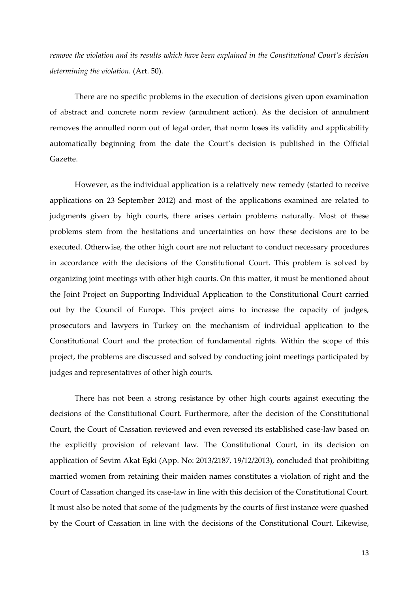*remove the violation and its results which have been explained in the Constitutional Court's decision determining the violation.* (Art. 50).

There are no specific problems in the execution of decisions given upon examination of abstract and concrete norm review (annulment action). As the decision of annulment removes the annulled norm out of legal order, that norm loses its validity and applicability automatically beginning from the date the Court's decision is published in the Official Gazette.

However, as the individual application is a relatively new remedy (started to receive applications on 23 September 2012) and most of the applications examined are related to judgments given by high courts, there arises certain problems naturally. Most of these problems stem from the hesitations and uncertainties on how these decisions are to be executed. Otherwise, the other high court are not reluctant to conduct necessary procedures in accordance with the decisions of the Constitutional Court. This problem is solved by organizing joint meetings with other high courts. On this matter, it must be mentioned about the Joint Project on Supporting Individual Application to the Constitutional Court carried out by the Council of Europe. This project aims to increase the capacity of judges, prosecutors and lawyers in Turkey on the mechanism of individual application to the Constitutional Court and the protection of fundamental rights. Within the scope of this project, the problems are discussed and solved by conducting joint meetings participated by judges and representatives of other high courts.

There has not been a strong resistance by other high courts against executing the decisions of the Constitutional Court. Furthermore, after the decision of the Constitutional Court, the Court of Cassation reviewed and even reversed its established case-law based on the explicitly provision of relevant law. The Constitutional Court, in its decision on application of Sevim Akat Eşki (App. No: 2013/2187, 19/12/2013), concluded that prohibiting married women from retaining their maiden names constitutes a violation of right and the Court of Cassation changed its case-law in line with this decision of the Constitutional Court. It must also be noted that some of the judgments by the courts of first instance were quashed by the Court of Cassation in line with the decisions of the Constitutional Court. Likewise,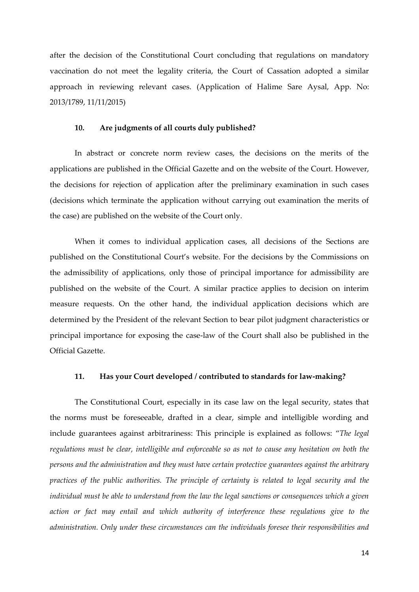after the decision of the Constitutional Court concluding that regulations on mandatory vaccination do not meet the legality criteria, the Court of Cassation adopted a similar approach in reviewing relevant cases. (Application of Halime Sare Aysal, App. No: 2013/1789, 11/11/2015)

#### **10. Are judgments of all courts duly published?**

In abstract or concrete norm review cases, the decisions on the merits of the applications are published in the Official Gazette and on the website of the Court. However, the decisions for rejection of application after the preliminary examination in such cases (decisions which terminate the application without carrying out examination the merits of the case) are published on the website of the Court only.

When it comes to individual application cases, all decisions of the Sections are published on the Constitutional Court's website. For the decisions by the Commissions on the admissibility of applications, only those of principal importance for admissibility are published on the website of the Court. A similar practice applies to decision on interim measure requests. On the other hand, the individual application decisions which are determined by the President of the relevant Section to bear pilot judgment characteristics or principal importance for exposing the case-law of the Court shall also be published in the Official Gazette.

#### **11. Has your Court developed / contributed to standards for law-making?**

The Constitutional Court, especially in its case law on the legal security, states that the norms must be foreseeable, drafted in a clear, simple and intelligible wording and include guarantees against arbitrariness: This principle is explained as follows: "*The legal regulations must be clear, intelligible and enforceable so as not to cause any hesitation on both the persons and the administration and they must have certain protective guarantees against the arbitrary practices of the public authorities. The principle of certainty is related to legal security and the individual must be able to understand from the law the legal sanctions or consequences which a given action or fact may entail and which authority of interference these regulations give to the administration. Only under these circumstances can the individuals foresee their responsibilities and*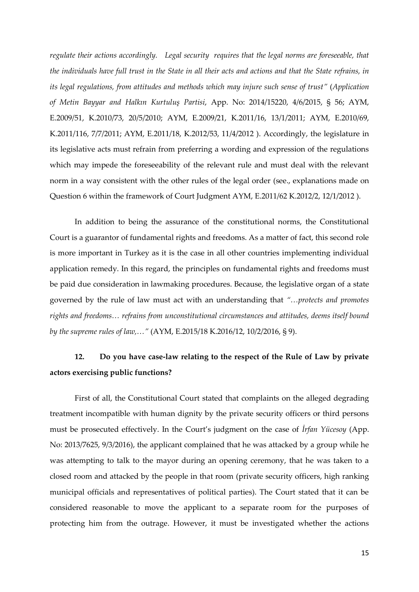*regulate their actions accordingly. Legal security requires that the legal norms are foreseeable, that the individuals have full trust in the State in all their acts and actions and that the State refrains, in its legal regulations, from attitudes and methods which may injure such sense of trust"* (*Application of Metin Bayyar and Halkın Kurtuluş Partisi*, App. No: 2014/15220, 4/6/2015, § 56; AYM, E.2009/51, K.2010/73, 20/5/2010; AYM, E.2009/21, K.2011/16, 13/1/2011; AYM, E.2010/69, K.2011/116, 7/7/2011; AYM, E.2011/18, K.2012/53, 11/4/2012 ). Accordingly, the legislature in its legislative acts must refrain from preferring a wording and expression of the regulations which may impede the foreseeability of the relevant rule and must deal with the relevant norm in a way consistent with the other rules of the legal order (see., explanations made on Question 6 within the framework of Court Judgment AYM, E.2011/62 K.2012/2, 12/1/2012 ).

In addition to being the assurance of the constitutional norms, the Constitutional Court is a guarantor of fundamental rights and freedoms. As a matter of fact, this second role is more important in Turkey as it is the case in all other countries implementing individual application remedy. In this regard, the principles on fundamental rights and freedoms must be paid due consideration in lawmaking procedures. Because, the legislative organ of a state governed by the rule of law must act with an understanding that *"…protects and promotes rights and freedoms… refrains from unconstitutional circumstances and attitudes, deems itself bound by the supreme rules of law,…"* (AYM, E.2015/18 K.2016/12, 10/2/2016, § 9).

#### **12. Do you have case-law relating to the respect of the Rule of Law by private actors exercising public functions?**

First of all, the Constitutional Court stated that complaints on the alleged degrading treatment incompatible with human dignity by the private security officers or third persons must be prosecuted effectively. In the Court's judgment on the case of *İrfan Yücesoy* (App. No: 2013/7625, 9/3/2016), the applicant complained that he was attacked by a group while he was attempting to talk to the mayor during an opening ceremony, that he was taken to a closed room and attacked by the people in that room (private security officers, high ranking municipal officials and representatives of political parties). The Court stated that it can be considered reasonable to move the applicant to a separate room for the purposes of protecting him from the outrage. However, it must be investigated whether the actions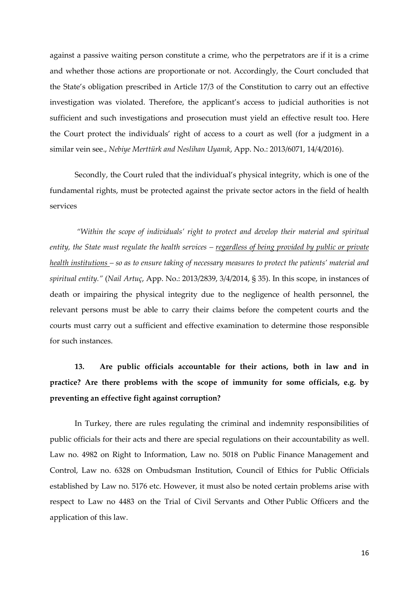against a passive waiting person constitute a crime, who the perpetrators are if it is a crime and whether those actions are proportionate or not. Accordingly, the Court concluded that the State's obligation prescribed in Article 17/3 of the Constitution to carry out an effective investigation was violated. Therefore, the applicant's access to judicial authorities is not sufficient and such investigations and prosecution must yield an effective result too. Here the Court protect the individuals' right of access to a court as well (for a judgment in a similar vein see., *Nebiye Merttürk and Neslihan Uyanık*, App. No.: 2013/6071, 14/4/2016).

Secondly, the Court ruled that the individual's physical integrity, which is one of the fundamental rights, must be protected against the private sector actors in the field of health services

*"Within the scope of individuals' right to protect and develop their material and spiritual entity, the State must regulate the health services – regardless of being provided by public or private health institutions – so as to ensure taking of necessary measures to protect the patients' material and spiritual entity."* (*Nail Artuç*, App. No.: 2013/2839, 3/4/2014, § 35). In this scope, in instances of death or impairing the physical integrity due to the negligence of health personnel, the relevant persons must be able to carry their claims before the competent courts and the courts must carry out a sufficient and effective examination to determine those responsible for such instances.

**13. Are public officials accountable for their actions, both in law and in practice? Are there problems with the scope of immunity for some officials, e.g. by preventing an effective fight against corruption?** 

In Turkey, there are rules regulating the criminal and indemnity responsibilities of public officials for their acts and there are special regulations on their accountability as well. Law no. 4982 on Right to Information, Law no. 5018 on Public Finance Management and Control, Law no. 6328 on Ombudsman Institution, Council of Ethics for Public Officials established by Law no. 5176 etc. However, it must also be noted certain problems arise with respect to Law no 4483 on the Trial of Civil Servants and Other Public Officers and the application of this law.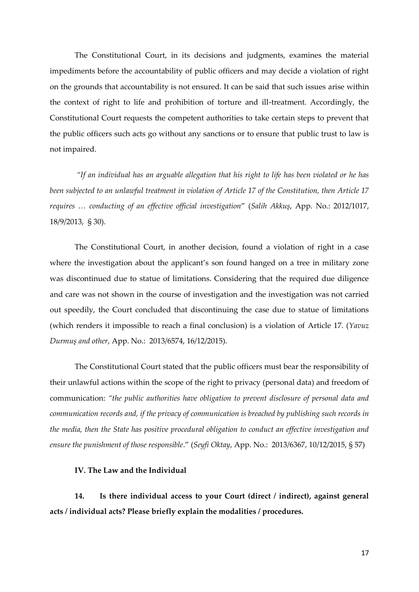The Constitutional Court, in its decisions and judgments, examines the material impediments before the accountability of public officers and may decide a violation of right on the grounds that accountability is not ensured. It can be said that such issues arise within the context of right to life and prohibition of torture and ill-treatment. Accordingly, the Constitutional Court requests the competent authorities to take certain steps to prevent that the public officers such acts go without any sanctions or to ensure that public trust to law is not impaired.

*"If an individual has an arguable allegation that his right to life has been violated or he has been subjected to an unlawful treatment in violation of Article 17 of the Constitution, then Article 17 requires … conducting of an effective official investigation*" (*Salih Akkuş*, App. No.: 2012/1017, 18/9/2013, § 30).

The Constitutional Court, in another decision, found a violation of right in a case where the investigation about the applicant's son found hanged on a tree in military zone was discontinued due to statue of limitations. Considering that the required due diligence and care was not shown in the course of investigation and the investigation was not carried out speedily, the Court concluded that discontinuing the case due to statue of limitations (which renders it impossible to reach a final conclusion) is a violation of Article 17. (*Yavuz Durmuş and other*, App. No.: 2013/6574, 16/12/2015).

The Constitutional Court stated that the public officers must bear the responsibility of their unlawful actions within the scope of the right to privacy (personal data) and freedom of communication: *"the public authorities have obligation to prevent disclosure of personal data and communication records and, if the privacy of communication is breached by publishing such records in the media, then the State has positive procedural obligation to conduct an effective investigation and ensure the punishment of those responsible*." (*Seyfi Oktay*, App. No.: 2013/6367, 10/12/2015, § 57)

#### **IV. The Law and the Individual**

**14. Is there individual access to your Court (direct / indirect), against general acts / individual acts? Please briefly explain the modalities / procedures.**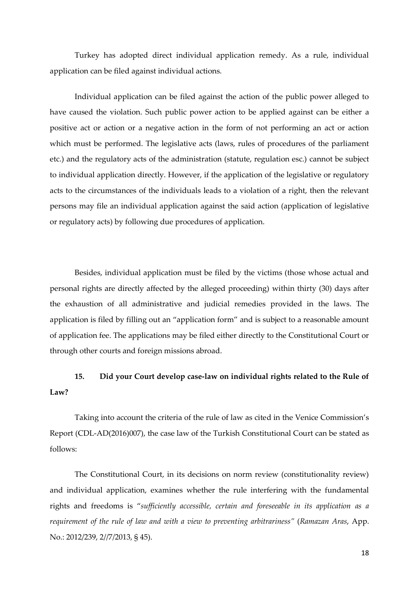Turkey has adopted direct individual application remedy. As a rule, individual application can be filed against individual actions.

Individual application can be filed against the action of the public power alleged to have caused the violation. Such public power action to be applied against can be either a positive act or action or a negative action in the form of not performing an act or action which must be performed. The legislative acts (laws, rules of procedures of the parliament etc.) and the regulatory acts of the administration (statute, regulation esc.) cannot be subject to individual application directly. However, if the application of the legislative or regulatory acts to the circumstances of the individuals leads to a violation of a right, then the relevant persons may file an individual application against the said action (application of legislative or regulatory acts) by following due procedures of application.

Besides, individual application must be filed by the victims (those whose actual and personal rights are directly affected by the alleged proceeding) within thirty (30) days after the exhaustion of all administrative and judicial remedies provided in the laws. The application is filed by filling out an "application form" and is subject to a reasonable amount of application fee. The applications may be filed either directly to the Constitutional Court or through other courts and foreign missions abroad.

## **15. Did your Court develop case-law on individual rights related to the Rule of Law?**

Taking into account the criteria of the rule of law as cited in the Venice Commission's Report (CDL-AD(2016)007), the case law of the Turkish Constitutional Court can be stated as follows:

The Constitutional Court, in its decisions on norm review (constitutionality review) and individual application, examines whether the rule interfering with the fundamental rights and freedoms is "*sufficiently accessible, certain and foreseeable in its application as a requirement of the rule of law and with a view to preventing arbitrariness"* (*Ramazan Aras*, App. No.: 2012/239, 2//7/2013, § 45).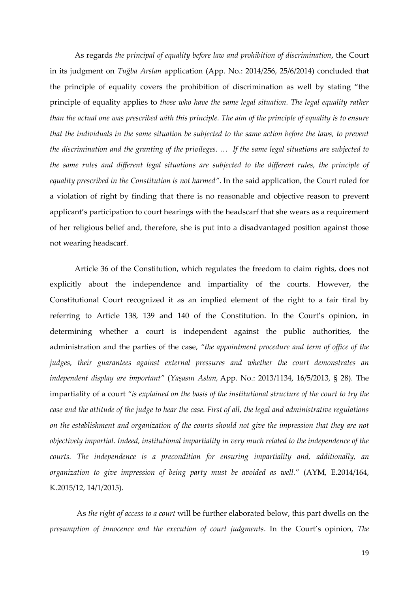As regards *the principal of equality before law and prohibition of discrimination*, the Court in its judgment on *Tuğba Arslan* application (App. No.: 2014/256, 25/6/2014) concluded that the principle of equality covers the prohibition of discrimination as well by stating "the principle of equality applies to *those who have the same legal situation. The legal equality rather than the actual one was prescribed with this principle. The aim of the principle of equality is to ensure that the individuals in the same situation be subjected to the same action before the laws, to prevent the discrimination and the granting of the privileges. … If the same legal situations are subjected to the same rules and different legal situations are subjected to the different rules, the principle of equality prescribed in the Constitution is not harmed"*. In the said application, the Court ruled for a violation of right by finding that there is no reasonable and objective reason to prevent applicant's participation to court hearings with the headscarf that she wears as a requirement of her religious belief and, therefore, she is put into a disadvantaged position against those not wearing headscarf.

Article 36 of the Constitution, which regulates the freedom to claim rights, does not explicitly about the independence and impartiality of the courts. However, the Constitutional Court recognized it as an implied element of the right to a fair tiral by referring to Article 138, 139 and 140 of the Constitution. In the Court's opinion, in determining whether a court is independent against the public authorities, the administration and the parties of the case, *"the appointment procedure and term of office of the judges, their guarantees against external pressures and whether the court demonstrates an independent display are important"* (*Yaşasın Aslan,* App. No.: 2013/1134, 16/5/2013, § 28). The impartiality of a court "is explained on the basis of the institutional structure of the court to try the *case and the attitude of the judge to hear the case. First of all, the legal and administrative regulations on the establishment and organization of the courts should not give the impression that they are not objectively impartial. Indeed, institutional impartiality in very much related to the independence of the courts. The independence is a precondition for ensuring impartiality and, additionally, an organization to give impression of being party must be avoided as well.*" (AYM, E.2014/164, K.2015/12, 14/1/2015).

As *the right of access to a court* will be further elaborated below, this part dwells on the *presumption of innocence and the execution of court judgments*. In the Court's opinion, *The*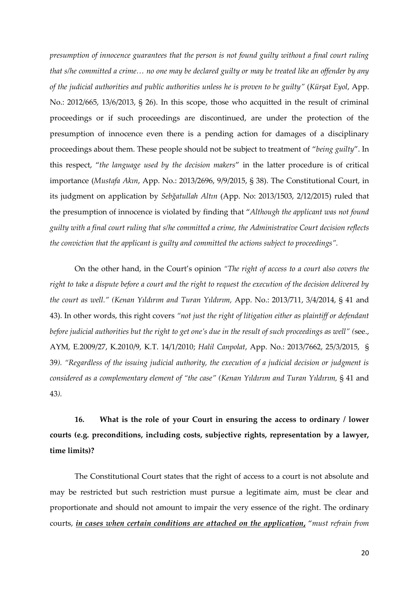*presumption of innocence guarantees that the person is not found guilty without a final court ruling that s/he committed a crime… no one may be declared guilty or may be treated like an offender by any of the judicial authorities and public authorities unless he is proven to be guilty"* (*Kürşat Eyol*, App. No.: 2012/665, 13/6/2013, § 26). In this scope, those who acquitted in the result of criminal proceedings or if such proceedings are discontinued, are under the protection of the presumption of innocence even there is a pending action for damages of a disciplinary proceedings about them. These people should not be subject to treatment of "*being guilty*". In this respect, "*the language used by the decision makers*" in the latter procedure is of critical importance (*Mustafa Akın*, App. No.: 2013/2696, 9/9/2015, § 38). The Constitutional Court, in its judgment on application by *Sebğatullah Altın* (App. No: 2013/1503, 2/12/2015) ruled that the presumption of innocence is violated by finding that "*Although the applicant was not found guilty with a final court ruling that s/he committed a crime, the Administrative Court decision reflects the conviction that the applicant is guilty and committed the actions subject to proceedings".* 

On the other hand, in the Court's opinion *"The right of access to a court also covers the right to take a dispute before a court and the right to request the execution of the decision delivered by the court as well." (Kenan Yıldırım and Turan Yıldırım,* App. No.: 2013/711, 3/4/2014, § 41 and 43). In other words, this right covers *"not just the right of litigation either as plaintiff or defendant before judicial authorities but the right to get one's due in the result of such proceedings as well" (*see., AYM, E.2009/27, K.2010/9, K.T. 14/1/2010; *Halil Canpolat*, App. No.: 2013/7662, 25/3/2015, § 39*). "Regardless of the issuing judicial authority, the execution of a judicial decision or judgment is considered as a complementary element of "the case" (Kenan Yıldırım and Turan Yıldırım,* § 41 and 43*).*

**16. What is the role of your Court in ensuring the access to ordinary / lower courts (e.g. preconditions, including costs, subjective rights, representation by a lawyer, time limits)?**

The Constitutional Court states that the right of access to a court is not absolute and may be restricted but such restriction must pursue a legitimate aim, must be clear and proportionate and should not amount to impair the very essence of the right. The ordinary courts, *in cases when certain conditions are attached on the application***,** "*must refrain from*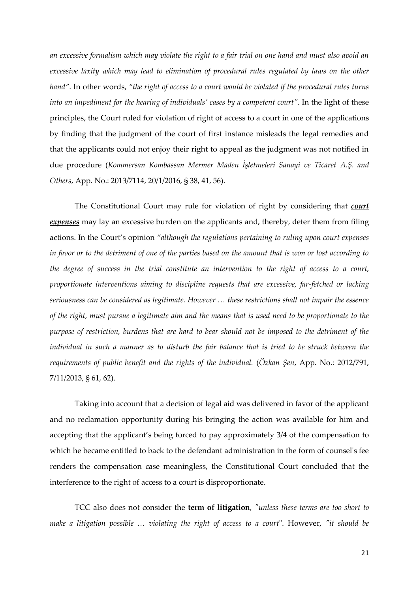*an excessive formalism which may violate the right to a fair trial on one hand and must also avoid an excessive laxity which may lead to elimination of procedural rules regulated by laws on the other hand"*. In other words, *"the right of access to a court would be violated if the procedural rules turns into an impediment for the hearing of individuals' cases by a competent court". In the light of these* principles, the Court ruled for violation of right of access to a court in one of the applications by finding that the judgment of the court of first instance misleads the legal remedies and that the applicants could not enjoy their right to appeal as the judgment was not notified in due procedure (*Kommersan Kombassan Mermer Maden İşletmeleri Sanayi ve Ticaret A.Ş. and Others*, App. No.: 2013/7114, 20/1/2016, § 38, 41, 56).

The Constitutional Court may rule for violation of right by considering that *court expenses* may lay an excessive burden on the applicants and, thereby, deter them from filing actions. In the Court's opinion "*although the regulations pertaining to ruling upon court expenses in favor or to the detriment of one of the parties based on the amount that is won or lost according to the degree of success in the trial constitute an intervention to the right of access to a court, proportionate interventions aiming to discipline requests that are excessive, far-fetched or lacking seriousness can be considered as legitimate. However … these restrictions shall not impair the essence of the right, must pursue a legitimate aim and the means that is used need to be proportionate to the purpose of restriction, burdens that are hard to bear should not be imposed to the detriment of the individual in such a manner as to disturb the fair balance that is tried to be struck between the requirements of public benefit and the rights of the individual.* (*Özkan Şen*, App. No.: 2012/791, 7/11/2013, § 61, 62).

Taking into account that a decision of legal aid was delivered in favor of the applicant and no reclamation opportunity during his bringing the action was available for him and accepting that the applicant's being forced to pay approximately 3/4 of the compensation to which he became entitled to back to the defendant administration in the form of counsel's fee renders the compensation case meaningless, the Constitutional Court concluded that the interference to the right of access to a court is disproportionate.

TCC also does not consider the **term of litigation**, *"unless these terms are too short to make a litigation possible … violating the right of access to a court*". However, *"it should be*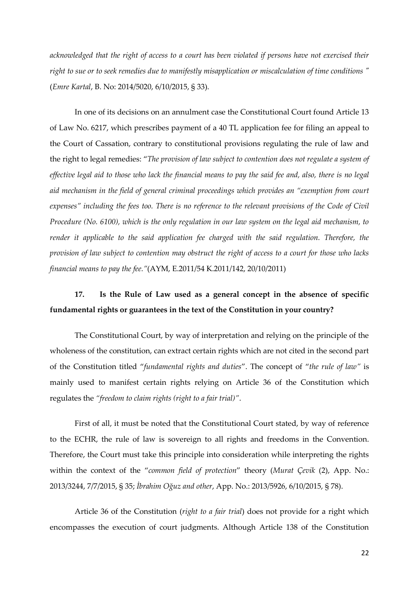*acknowledged that the right of access to a court has been violated if persons have not exercised their right to sue or to seek remedies due to manifestly misapplication or miscalculation of time conditions "* (*Emre Kartal*, B. No: 2014/5020, 6/10/2015, § 33).

In one of its decisions on an annulment case the Constitutional Court found Article 13 of Law No. 6217, which prescribes payment of a 40 TL application fee for filing an appeal to the Court of Cassation, contrary to constitutional provisions regulating the rule of law and the right to legal remedies: "*The provision of law subject to contention does not regulate a system of effective legal aid to those who lack the financial means to pay the said fee and, also, there is no legal aid mechanism in the field of general criminal proceedings which provides an "exemption from court expenses" including the fees too. There is no reference to the relevant provisions of the Code of Civil Procedure (No. 6100), which is the only regulation in our law system on the legal aid mechanism, to render it applicable to the said application fee charged with the said regulation. Therefore, the provision of law subject to contention may obstruct the right of access to a court for those who lacks financial means to pay the fee."*(AYM, E.2011/54 K.2011/142, 20/10/2011)

## **17. Is the Rule of Law used as a general concept in the absence of specific fundamental rights or guarantees in the text of the Constitution in your country?**

The Constitutional Court, by way of interpretation and relying on the principle of the wholeness of the constitution, can extract certain rights which are not cited in the second part of the Constitution titled "*fundamental rights and duties*". The concept of "*the rule of law"* is mainly used to manifest certain rights relying on Article 36 of the Constitution which regulates the *"freedom to claim rights (right to a fair trial)"*.

First of all, it must be noted that the Constitutional Court stated, by way of reference to the ECHR, the rule of law is sovereign to all rights and freedoms in the Convention. Therefore, the Court must take this principle into consideration while interpreting the rights within the context of the "*common field of protection*" theory (*Murat Çevik* (2), App. No.: 2013/3244, 7/7/2015, § 35; *İbrahim Oğuz and other*, App. No.: 2013/5926, 6/10/2015, § 78).

Article 36 of the Constitution (*right to a fair trial*) does not provide for a right which encompasses the execution of court judgments. Although Article 138 of the Constitution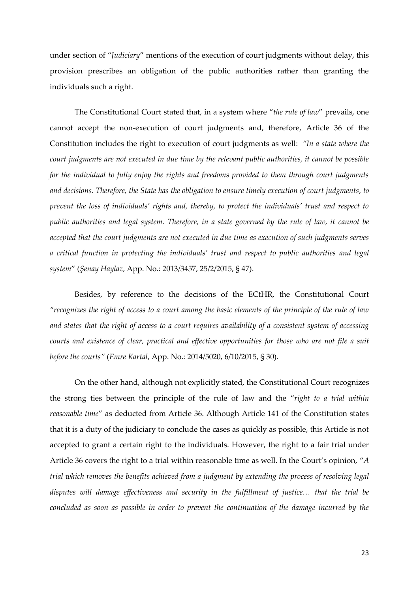under section of "*Judiciary*" mentions of the execution of court judgments without delay, this provision prescribes an obligation of the public authorities rather than granting the individuals such a right.

The Constitutional Court stated that, in a system where "*the rule of law*" prevails, one cannot accept the non-execution of court judgments and, therefore, Article 36 of the Constitution includes the right to execution of court judgments as well: *"In a state where the court judgments are not executed in due time by the relevant public authorities, it cannot be possible for the individual to fully enjoy the rights and freedoms provided to them through court judgments and decisions. Therefore, the State has the obligation to ensure timely execution of court judgments, to prevent the loss of individuals' rights and, thereby, to protect the individuals' trust and respect to public authorities and legal system. Therefore, in a state governed by the rule of law, it cannot be accepted that the court judgments are not executed in due time as execution of such judgments serves a critical function in protecting the individuals' trust and respect to public authorities and legal system*" (*Şenay Haylaz*, App. No.: 2013/3457, 25/2/2015, § 47).

Besides, by reference to the decisions of the ECtHR, the Constitutional Court *"recognizes the right of access to a court among the basic elements of the principle of the rule of law and states that the right of access to a court requires availability of a consistent system of accessing courts and existence of clear, practical and effective opportunities for those who are not file a suit before the courts"* (*Emre Kartal*, App. No.: 2014/5020, 6/10/2015, § 30).

On the other hand, although not explicitly stated, the Constitutional Court recognizes the strong ties between the principle of the rule of law and the "*right to a trial within reasonable time*" as deducted from Article 36. Although Article 141 of the Constitution states that it is a duty of the judiciary to conclude the cases as quickly as possible, this Article is not accepted to grant a certain right to the individuals. However, the right to a fair trial under Article 36 covers the right to a trial within reasonable time as well. In the Court's opinion, "*A trial which removes the benefits achieved from a judgment by extending the process of resolving legal disputes will damage effectiveness and security in the fulfillment of justice… that the trial be concluded as soon as possible in order to prevent the continuation of the damage incurred by the*